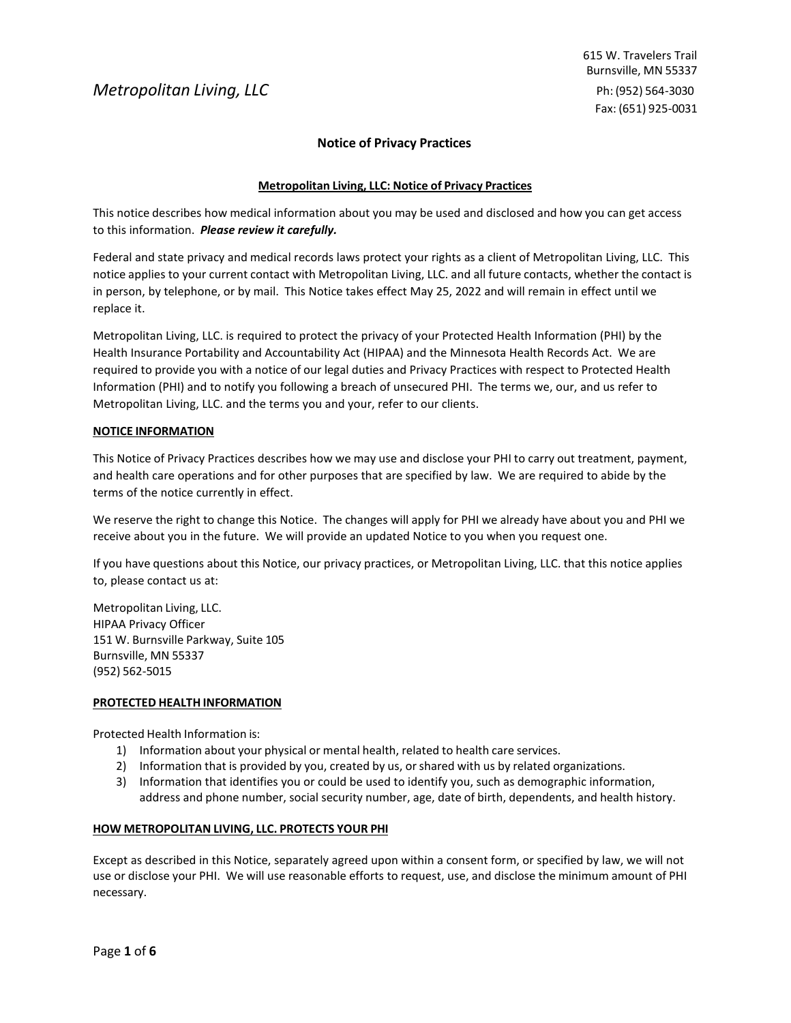# **Notice of Privacy Practices**

# **Metropolitan Living, LLC: Notice of Privacy Practices**

This notice describes how medical information about you may be used and disclosed and how you can get access to this information. *Please review it carefully.*

Federal and state privacy and medical records laws protect your rights as a client of Metropolitan Living, LLC. This notice applies to your current contact with Metropolitan Living, LLC. and all future contacts, whether the contact is in person, by telephone, or by mail. This Notice takes effect May 25, 2022 and will remain in effect until we replace it.

Metropolitan Living, LLC. is required to protect the privacy of your Protected Health Information (PHI) by the Health Insurance Portability and Accountability Act (HIPAA) and the Minnesota Health Records Act. We are required to provide you with a notice of our legal duties and Privacy Practices with respect to Protected Health Information (PHI) and to notify you following a breach of unsecured PHI. The terms we, our, and us refer to Metropolitan Living, LLC. and the terms you and your, refer to our clients.

# **NOTICE INFORMATION**

This Notice of Privacy Practices describes how we may use and disclose your PHI to carry out treatment, payment, and health care operations and for other purposes that are specified by law. We are required to abide by the terms of the notice currently in effect.

We reserve the right to change this Notice. The changes will apply for PHI we already have about you and PHI we receive about you in the future. We will provide an updated Notice to you when you request one.

If you have questions about this Notice, our privacy practices, or Metropolitan Living, LLC. that this notice applies to, please contact us at:

Metropolitan Living, LLC. HIPAA Privacy Officer 151 W. Burnsville Parkway, Suite 105 Burnsville, MN 55337 (952) 562-5015

## **PROTECTED HEALTH INFORMATION**

Protected Health Information is:

- 1) Information about your physical or mental health, related to health care services.
- 2) Information that is provided by you, created by us, orshared with us by related organizations.
- 3) Information that identifies you or could be used to identify you, such as demographic information, address and phone number, social security number, age, date of birth, dependents, and health history.

## **HOW METROPOLITAN LIVING, LLC. PROTECTS YOUR PHI**

Except as described in this Notice, separately agreed upon within a consent form, or specified by law, we will not use or disclose your PHI. We will use reasonable efforts to request, use, and disclose the minimum amount of PHI necessary.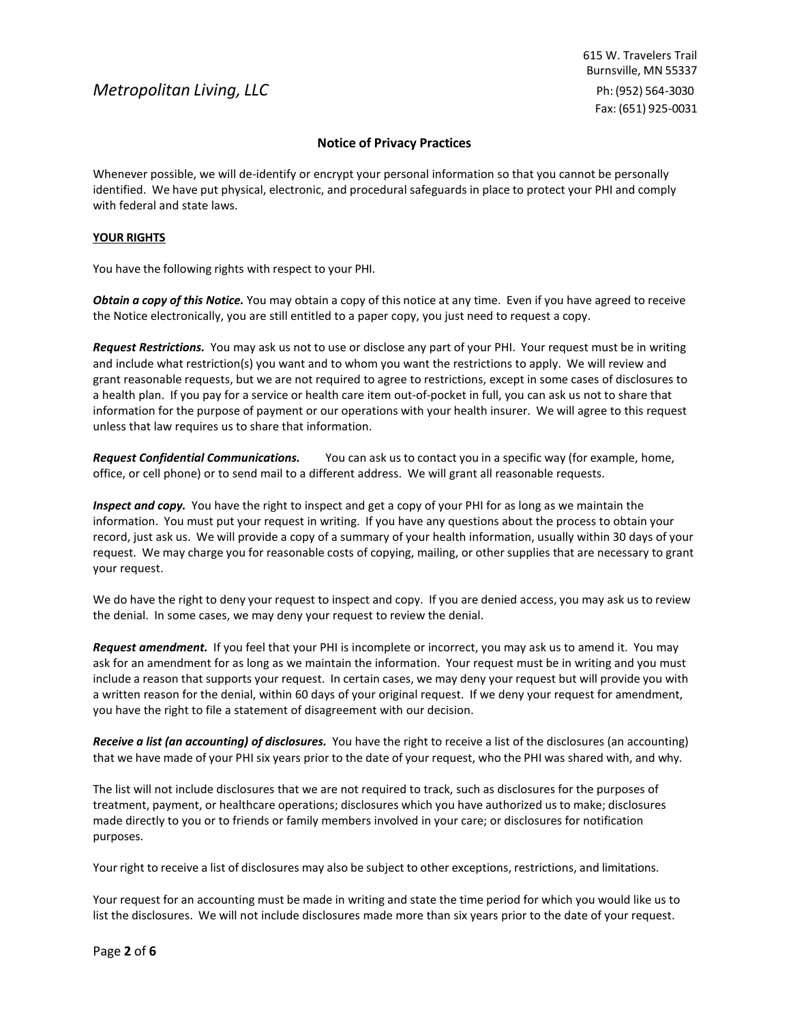# **Notice of Privacy Practices**

Whenever possible, we will de-identify or encrypt your personal information so that you cannot be personally identified. We have put physical, electronic, and procedural safeguards in place to protect your PHI and comply with federal and state laws.

# **YOUR RIGHTS**

You have the following rights with respect to your PHI.

*Obtain a copy of this Notice.* You may obtain a copy of this notice at any time. Even if you have agreed to receive the Notice electronically, you are still entitled to a paper copy, you just need to request a copy.

*Request Restrictions.* You may ask us not to use or disclose any part of your PHI. Your request must be in writing and include what restriction(s) you want and to whom you want the restrictions to apply. We will review and grant reasonable requests, but we are not required to agree to restrictions, except in some cases of disclosures to a health plan. If you pay for a service or health care item out-of-pocket in full, you can ask us not to share that information for the purpose of payment or our operations with your health insurer. We will agree to this request unless that law requires us to share that information.

*Request Confidential Communications.* You can ask us to contact you in a specific way (for example, home, office, or cell phone) or to send mail to a different address. We will grant all reasonable requests.

*Inspect and copy.* You have the right to inspect and get a copy of your PHI for as long as we maintain the information. You must put your request in writing. If you have any questions about the process to obtain your record, just ask us. We will provide a copy of a summary of your health information, usually within 30 days of your request. We may charge you for reasonable costs of copying, mailing, or other supplies that are necessary to grant your request.

We do have the right to deny your request to inspect and copy. If you are denied access, you may ask us to review the denial. In some cases, we may deny your request to review the denial.

*Request amendment.* If you feel that your PHI is incomplete or incorrect, you may ask us to amend it. You may ask for an amendment for as long as we maintain the information. Your request must be in writing and you must include a reason that supports your request. In certain cases, we may deny your request but will provide you with a written reason for the denial, within 60 days of your original request. If we deny your request for amendment, you have the right to file a statement of disagreement with our decision.

*Receive a list (an accounting) of disclosures.* You have the right to receive a list of the disclosures (an accounting) that we have made of your PHI six years prior to the date of your request, who the PHI was shared with, and why.

The list will not include disclosures that we are not required to track, such as disclosures for the purposes of treatment, payment, or healthcare operations; disclosures which you have authorized us to make; disclosures made directly to you or to friends or family members involved in your care; or disclosures for notification purposes.

Your right to receive a list of disclosures may also be subject to other exceptions, restrictions, and limitations.

Your request for an accounting must be made in writing and state the time period for which you would like us to list the disclosures. We will not include disclosures made more than six years prior to the date of your request.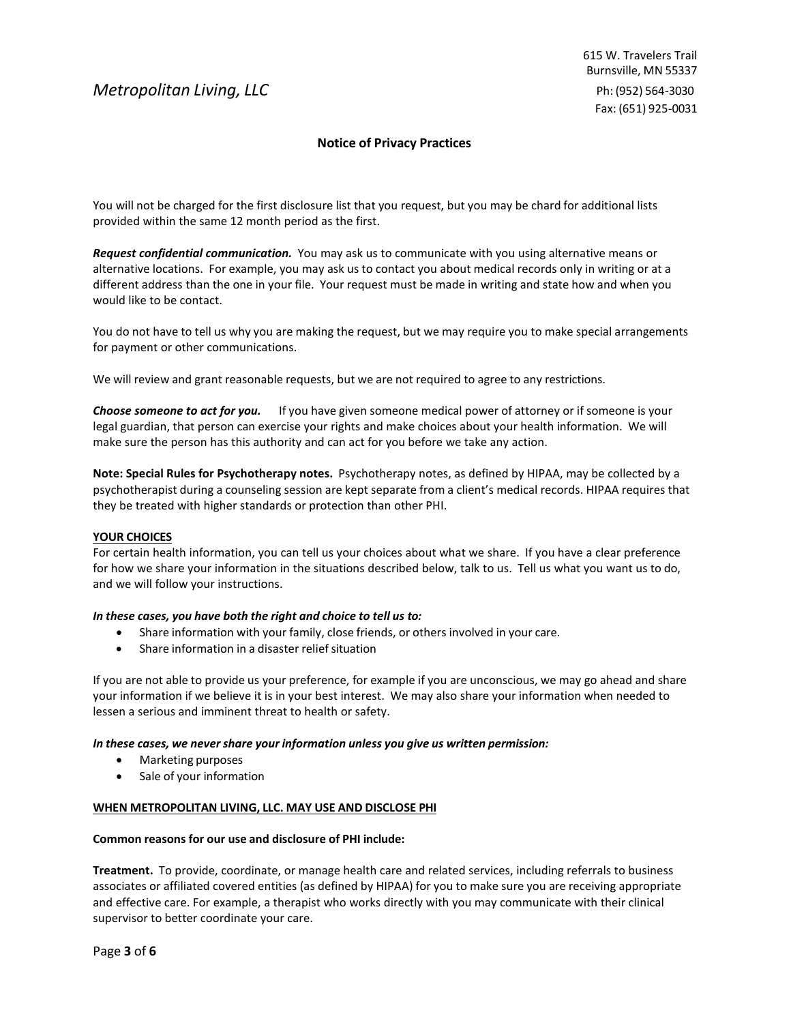# **Notice of Privacy Practices**

You will not be charged for the first disclosure list that you request, but you may be chard for additional lists provided within the same 12 month period as the first.

*Request confidential communication.* You may ask us to communicate with you using alternative means or alternative locations. For example, you may ask us to contact you about medical records only in writing or at a different address than the one in your file. Your request must be made in writing and state how and when you would like to be contact.

You do not have to tell us why you are making the request, but we may require you to make special arrangements for payment or other communications.

We will review and grant reasonable requests, but we are not required to agree to any restrictions.

*Choose someone to act for you.* If you have given someone medical power of attorney or if someone is your legal guardian, that person can exercise your rights and make choices about your health information. We will make sure the person has this authority and can act for you before we take any action.

**Note: Special Rules for Psychotherapy notes.** Psychotherapy notes, as defined by HIPAA, may be collected by a psychotherapist during a counseling session are kept separate from a client's medical records. HIPAA requires that they be treated with higher standards or protection than other PHI.

## **YOUR CHOICES**

For certain health information, you can tell us your choices about what we share. If you have a clear preference for how we share your information in the situations described below, talk to us. Tell us what you want us to do, and we will follow your instructions.

## *In these cases, you have both the right and choice to tell us to:*

- Share information with your family, close friends, or others involved in your care.
- Share information in a disaster relief situation

If you are not able to provide us your preference, for example if you are unconscious, we may go ahead and share your information if we believe it is in your best interest. We may also share your information when needed to lessen a serious and imminent threat to health or safety.

## *In these cases, we nevershare your information unless you give us written permission:*

- Marketing purposes
- Sale of your information

## **WHEN METROPOLITAN LIVING, LLC. MAY USE AND DISCLOSE PHI**

#### **Common reasons for our use and disclosure of PHI include:**

**Treatment.** To provide, coordinate, or manage health care and related services, including referrals to business associates or affiliated covered entities (as defined by HIPAA) for you to make sure you are receiving appropriate and effective care. For example, a therapist who works directly with you may communicate with their clinical supervisor to better coordinate your care.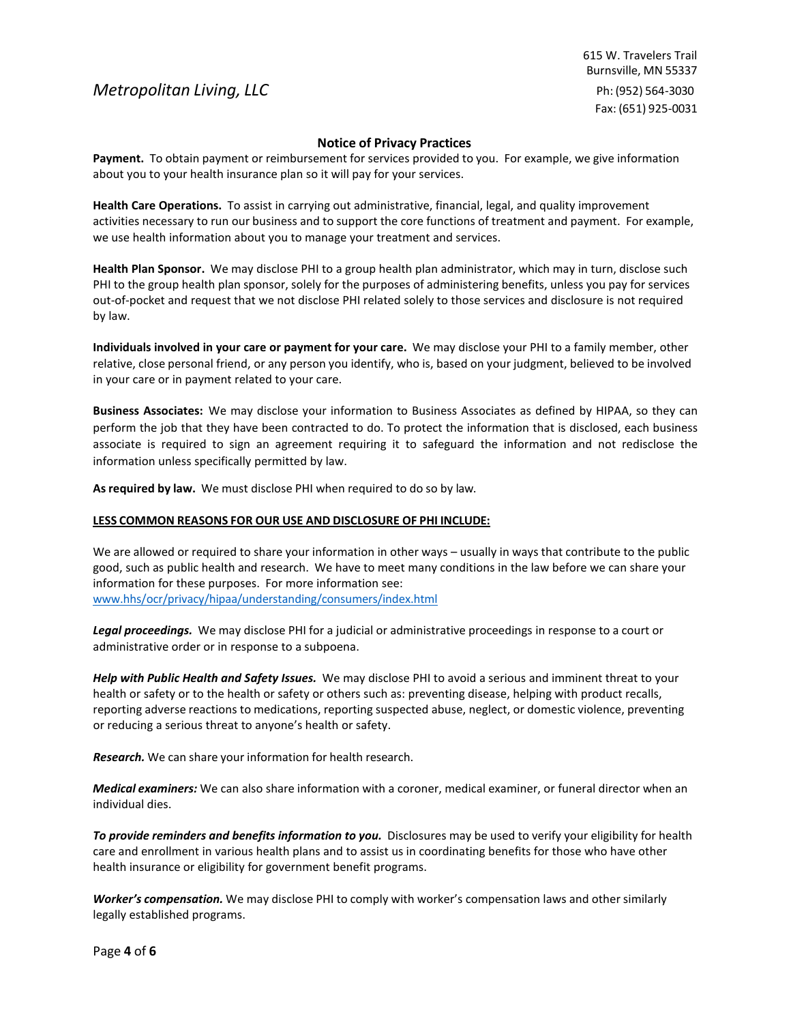615 W. Travelers Trail Burnsville, MN 55337 Ph: (952) 564-3030 Fax: (651) 925-0031

# **Notice of Privacy Practices**

**Payment.** To obtain payment or reimbursement for services provided to you. For example, we give information about you to your health insurance plan so it will pay for your services.

**Health Care Operations.** To assist in carrying out administrative, financial, legal, and quality improvement activities necessary to run our business and to support the core functions of treatment and payment. For example, we use health information about you to manage your treatment and services.

**Health Plan Sponsor.** We may disclose PHI to a group health plan administrator, which may in turn, disclose such PHI to the group health plan sponsor, solely for the purposes of administering benefits, unless you pay for services out-of-pocket and request that we not disclose PHI related solely to those services and disclosure is not required by law.

**Individuals involved in your care or payment for your care.** We may disclose your PHI to a family member, other relative, close personal friend, or any person you identify, who is, based on your judgment, believed to be involved in your care or in payment related to your care.

**Business Associates:** We may disclose your information to Business Associates as defined by HIPAA, so they can perform the job that they have been contracted to do. To protect the information that is disclosed, each business associate is required to sign an agreement requiring it to safeguard the information and not redisclose the information unless specifically permitted by law.

**As required by law.** We must disclose PHI when required to do so by law.

## **LESS COMMON REASONS FOR OUR USE AND DISCLOSURE OF PHI INCLUDE:**

We are allowed or required to share your information in other ways – usually in ways that contribute to the public good, such as public health and research. We have to meet many conditions in the law before we can share your information for these purposes. For more information see: www.hhs/ocr/privacy/hipaa/understanding/consumers/index.html

*Legal proceedings.* We may disclose PHI for a judicial or administrative proceedings in response to a court or administrative order or in response to a subpoena.

*Help with Public Health and Safety Issues.* We may disclose PHI to avoid a serious and imminent threat to your health or safety or to the health or safety or others such as: preventing disease, helping with product recalls, reporting adverse reactions to medications, reporting suspected abuse, neglect, or domestic violence, preventing or reducing a serious threat to anyone's health or safety.

*Research.* We can share your information for health research.

*Medical examiners:* We can also share information with a coroner, medical examiner, or funeral director when an individual dies.

*To provide reminders and benefits information to you.* Disclosures may be used to verify your eligibility for health care and enrollment in various health plans and to assist us in coordinating benefits for those who have other health insurance or eligibility for government benefit programs.

*Worker's compensation.* We may disclose PHI to comply with worker's compensation laws and other similarly legally established programs.

Page **4** of **6**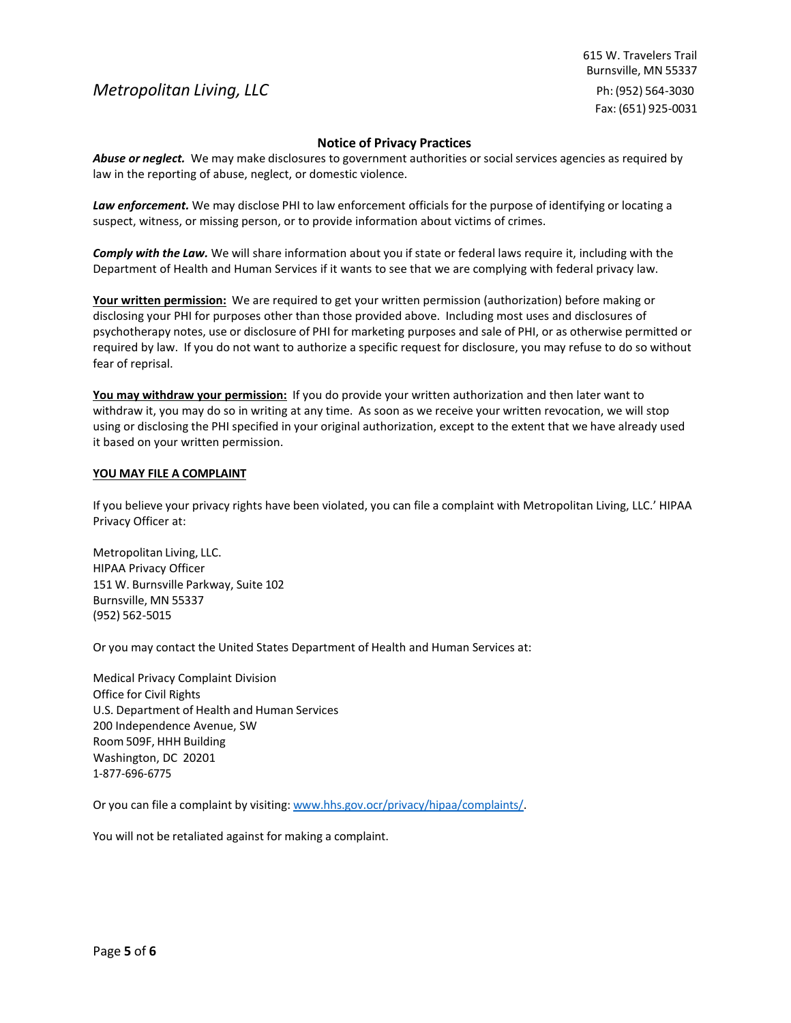615 W. Travelers Trail Burnsville, MN 55337 Ph: (952) 564-3030 Fax: (651) 925-0031

# **Notice of Privacy Practices**

*Abuse or neglect.* We may make disclosures to government authorities or socialservices agencies as required by law in the reporting of abuse, neglect, or domestic violence.

*Law enforcement.* We may disclose PHI to law enforcement officials for the purpose of identifying or locating a suspect, witness, or missing person, or to provide information about victims of crimes.

*Comply with the Law.* We will share information about you if state or federal laws require it, including with the Department of Health and Human Services if it wants to see that we are complying with federal privacy law.

**Your written permission:** We are required to get your written permission (authorization) before making or disclosing your PHI for purposes other than those provided above. Including most uses and disclosures of psychotherapy notes, use or disclosure of PHI for marketing purposes and sale of PHI, or as otherwise permitted or required by law. If you do not want to authorize a specific request for disclosure, you may refuse to do so without fear of reprisal.

**You may withdraw your permission:** If you do provide your written authorization and then later want to withdraw it, you may do so in writing at any time. As soon as we receive your written revocation, we will stop using or disclosing the PHI specified in your original authorization, except to the extent that we have already used it based on your written permission.

## **YOU MAY FILE A COMPLAINT**

If you believe your privacy rights have been violated, you can file a complaint with Metropolitan Living, LLC.' HIPAA Privacy Officer at:

Metropolitan Living, LLC. HIPAA Privacy Officer 151 W. Burnsville Parkway, Suite 102 Burnsville, MN 55337 (952) 562-5015

Or you may contact the United States Department of Health and Human Services at:

Medical Privacy Complaint Division Office for Civil Rights U.S. Department of Health and Human Services 200 Independence Avenue, SW Room 509F, HHH Building Washington, DC 20201 1-877-696-6775

Or you can file a complaint by visiting: [www.hhs.gov.ocr/privacy/hipaa/complaints/.](http://www.hhs.gov.ocr/privacy/hipaa/complaints/)

You will not be retaliated against for making a complaint.